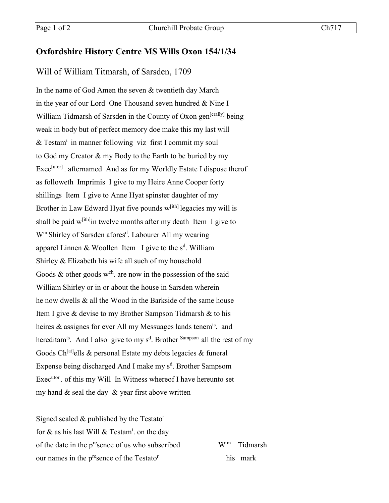## **Oxfordshire History Centre MS Wills Oxon 154/1/34**

## Will of William Titmarsh, of Sarsden, 1709

In the name of God Amen the seven & twentieth day March in the year of our Lord One Thousand seven hundred & Nine I William Tidmarsh of Sarsden in the County of Oxon gen<sup>[erally]</sup> being weak in body but of perfect memory doe make this my last will & Testam<sup>t</sup> in manner following viz first I commit my soul to God my Creator & my Body to the Earth to be buried by my Exec<sup>[utor]</sup>. afternamed And as for my Worldly Estate I dispose therof as followeth Imprimis I give to my Heire Anne Cooper forty shillings Item I give to Anne Hyat spinster daughter of my Brother in Law Edward Hyat five pounds  $w^{[ith]}$  legacies my will is shall be paid  $w^{[ith]}$  in twelve months after my death Item I give to W<sup>m</sup> Shirley of Sarsden afores<sup>d</sup>. Labourer All my wearing apparel Linnen & Woollen Item I give to the s<sup>d</sup>. William Shirley & Elizabeth his wife all such of my household Goods  $\&$  other goods w<sup>ch</sup>. are now in the possession of the said William Shirley or in or about the house in Sarsden wherein he now dwells & all the Wood in the Barkside of the same house Item I give & devise to my Brother Sampson Tidmarsh & to his heires & assignes for ever All my Messuages lands tenem<sup>ts</sup>. and hereditam<sup>ts</sup>. And I also give to my s<sup>d</sup>. Brother <sup>Sampson</sup> all the rest of my Goods Ch<sup>[at]</sup>ells & personal Estate my debts legacies & funeral Expense being discharged And I make my s<sup>d</sup>. Brother Sampsom Exec<sup>utor</sup>. of this my Will In Witness whereof I have hereunto set my hand  $&$  seal the day  $&$  year first above written

Signed sealed  $&$  published by the Testato<sup>r</sup> for & as his last Will & Testam<sup>t</sup>. on the day of the date in the p<sup>re</sup>sence of us who subscribed  $W^m$  Tidmarsh our names in the  $p^{re}$ sence of the Testato<sup>r</sup> his mark